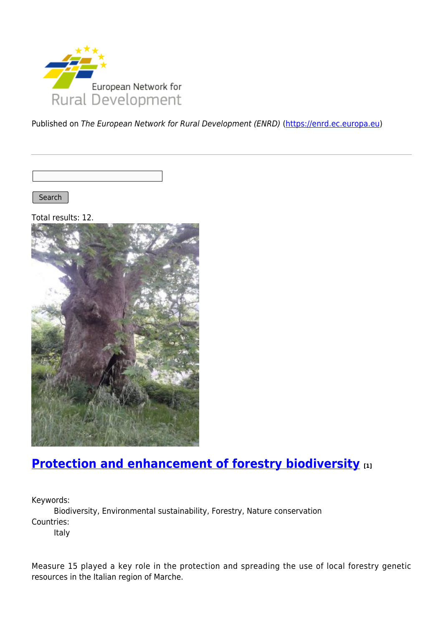

Published on The European Network for Rural Development (ENRD) [\(https://enrd.ec.europa.eu](https://enrd.ec.europa.eu))

Search |

Total results: 12.



### **[Protection and enhancement of forestry biodiversity](https://enrd.ec.europa.eu/projects-practice/protection-and-enhancement-forestry-biodiversity_en) [1]**

Keywords:

Biodiversity, Environmental sustainability, Forestry, Nature conservation Countries:

Italy

Measure 15 played a key role in the protection and spreading the use of local forestry genetic resources in the Italian region of Marche.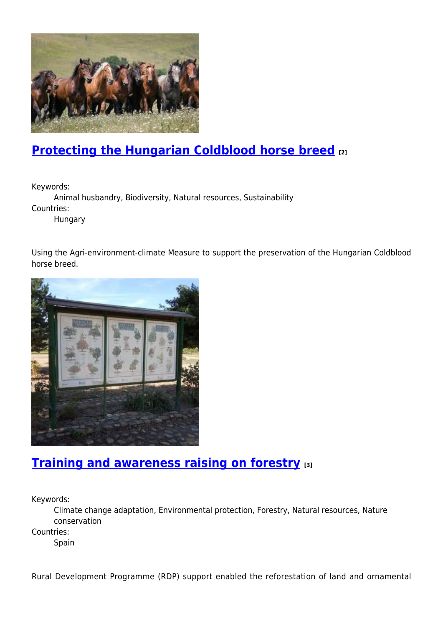

# **[Protecting the Hungarian Coldblood horse breed](https://enrd.ec.europa.eu/projects-practice/protecting-hungarian-coldblood-horse-breed_en) [2]**

Keywords:

Animal husbandry, Biodiversity, Natural resources, Sustainability Countries:

Hungary

Using the Agri-environment-climate Measure to support the preservation of the Hungarian Coldblood horse breed.



#### **[Training and awareness raising on forestry](https://enrd.ec.europa.eu/projects-practice/training-and-awareness-raising-forestry_en) [3]**

Keywords:

Climate change adaptation, Environmental protection, Forestry, Natural resources, Nature conservation

Countries:

Spain

Rural Development Programme (RDP) support enabled the reforestation of land and ornamental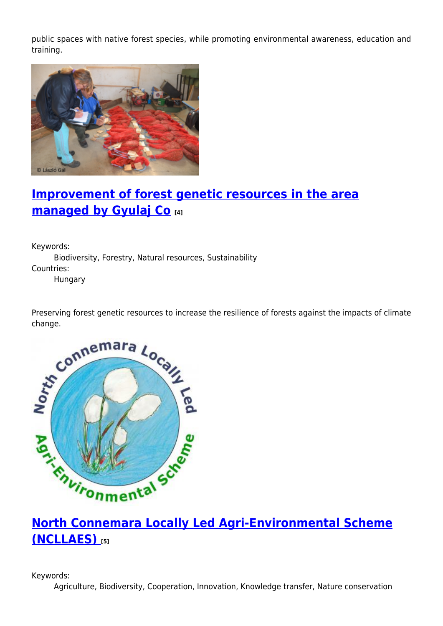public spaces with native forest species, while promoting environmental awareness, education and training.



# **[Improvement of forest genetic resources in the area](https://enrd.ec.europa.eu/projects-practice/improvement-forest-genetic-resources-area-managed-gyulaj-co_en) [managed by Gyulaj Co](https://enrd.ec.europa.eu/projects-practice/improvement-forest-genetic-resources-area-managed-gyulaj-co_en) [4]**

Keywords: Biodiversity, Forestry, Natural resources, Sustainability Countries: Hungary

Preserving forest genetic resources to increase the resilience of forests against the impacts of climate change.



# **[North Connemara Locally Led Agri-Environmental Scheme](https://enrd.ec.europa.eu/projects-practice/north-connemara-locally-led-agri-environmental-scheme-ncllaes_en) [\(NCLLAES\)](https://enrd.ec.europa.eu/projects-practice/north-connemara-locally-led-agri-environmental-scheme-ncllaes_en) [5]**

Keywords:

Agriculture, Biodiversity, Cooperation, Innovation, Knowledge transfer, Nature conservation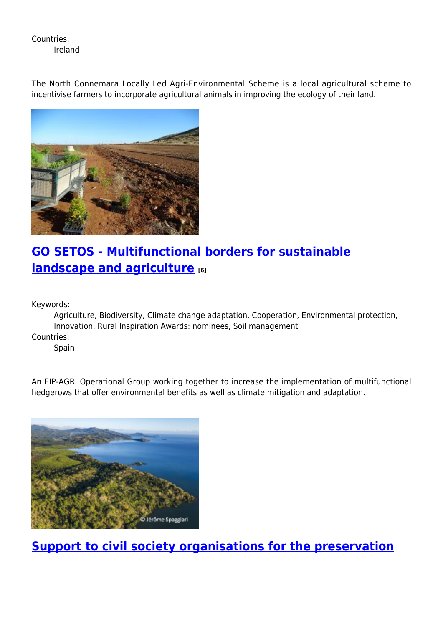Countries: Ireland

The North Connemara Locally Led Agri-Environmental Scheme is a local agricultural scheme to incentivise farmers to incorporate agricultural animals in improving the ecology of their land.



# **[GO SETOS - Multifunctional borders for sustainable](https://enrd.ec.europa.eu/projects-practice/go-setos-multifunctional-borders-sustainable-landscape-and-agriculture_en) [landscape and agriculture](https://enrd.ec.europa.eu/projects-practice/go-setos-multifunctional-borders-sustainable-landscape-and-agriculture_en) [6]**

Keywords:

Agriculture, Biodiversity, Climate change adaptation, Cooperation, Environmental protection, Innovation, Rural Inspiration Awards: nominees, Soil management

Countries:

**Spain** 

An EIP-AGRI Operational Group working together to increase the implementation of multifunctional hedgerows that offer environmental benefits as well as climate mitigation and adaptation.



**[Support to civil society organisations for the preservation](https://enrd.ec.europa.eu/projects-practice/support-civil-society-organisations-preservation-and-promotion-biodiversity_en)**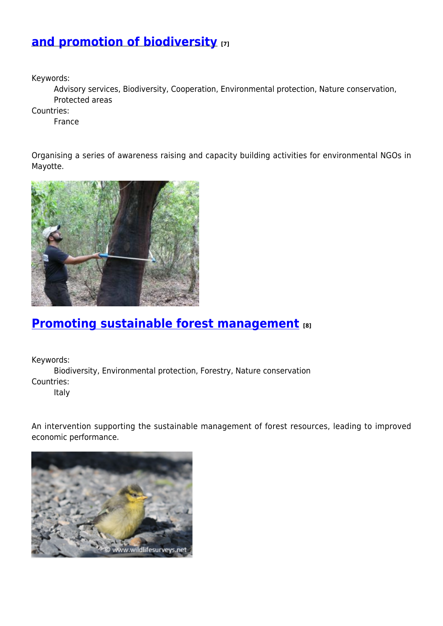#### **[and promotion of biodiversity](https://enrd.ec.europa.eu/projects-practice/support-civil-society-organisations-preservation-and-promotion-biodiversity_en) [7]**

Keywords:

Advisory services, Biodiversity, Cooperation, Environmental protection, Nature conservation, Protected areas

Countries:

France

Organising a series of awareness raising and capacity building activities for environmental NGOs in Mayotte.



### **[Promoting sustainable forest management](https://enrd.ec.europa.eu/projects-practice/promoting-sustainable-forest-management_en) [8]**

Keywords:

Biodiversity, Environmental protection, Forestry, Nature conservation Countries:

Italy

An intervention supporting the sustainable management of forest resources, leading to improved economic performance.

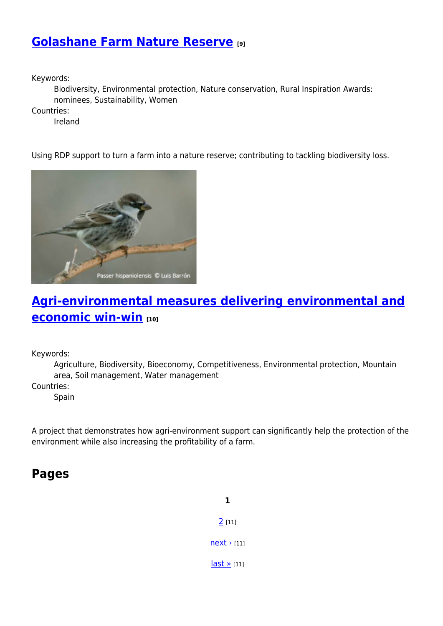#### **[Golashane Farm Nature Reserve](https://enrd.ec.europa.eu/projects-practice/golashane-farm-nature-reserve_en) [9]**

Keywords:

Biodiversity, Environmental protection, Nature conservation, Rural Inspiration Awards: nominees, Sustainability, Women

Countries:

Ireland

Using RDP support to turn a farm into a nature reserve; contributing to tackling biodiversity loss.



# **[Agri-environmental measures delivering environmental and](https://enrd.ec.europa.eu/projects-practice/agri-environmental-measures-environmental-economic-win-win_en) [economic win-win](https://enrd.ec.europa.eu/projects-practice/agri-environmental-measures-environmental-economic-win-win_en) [10]**

Keywords:

Agriculture, Biodiversity, Bioeconomy, Competitiveness, Environmental protection, Mountain area, Soil management, Water management

Countries:

Spain

A project that demonstrates how agri-environment support can significantly help the protection of the environment while also increasing the profitability of a farm.

#### **Pages**

**1**  $2$  [11]  $next$  [11] [last »](https://enrd.ec.europa.eu/projects-practice/_en?page=1&f%5B0%5D=im_field_enrd_prj_keywords%3A19754&f%5B1%5D=sm_enrd_eu_countries%3ASpain&f%5B2%5D=sm_enrd_eu_countries%3AItaly&f%5B3%5D=sm_enrd_eu_countries%3AThe%20Netherlands&f%5B4%5D=im_field_enrd_prj_keywords%3A20460&f%5B5%5D=im_field_enrd_prj_keywords%3A20463&f%5B6%5D=im_field_enrd_prj_focus_area%3A17119&f%5B7%5D=im_field_enrd_prj_keywords%3A19746&f%5B8%5D=im_field_enrd_prj_measure%3A17107&f%5B9%5D=im_field_enrd_prj_keywords%3A19723&f%5B10%5D=im_field_enrd_prj_measure%3A17106&f%5B11%5D=im_field_enrd_prj_keywords%3A19720&f%5B12%5D=im_field_enrd_prj_keywords%3A19747&f%5B13%5D=sm_enrd_eu_countries%3AFrance&f%5B14%5D=sm_enrd_eu_countries%3AHungary&f%5B15%5D=im_field_enrd_prj_measure%3A17101&f%5B16%5D=sm_enrd_eu_countries%3AIreland&%3Bf%5B1%5D=sm_enrd_eu_countries%3ABelgium) [11]